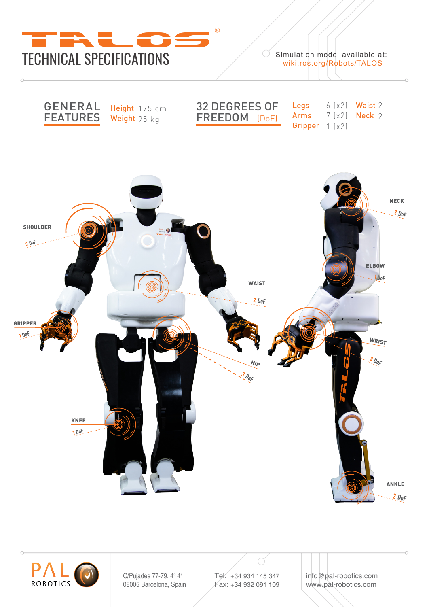

Simulation model available at:<br>wiki.ros.org/Robots/TALOS





C/Pujades 77-79, 4° 4<sup>a</sup> 08005 Barcelona, Spain Tel: +34 934 145 347 Fax: +34 932 091 109

info@pal-robotics.com www.pal-robotics.com